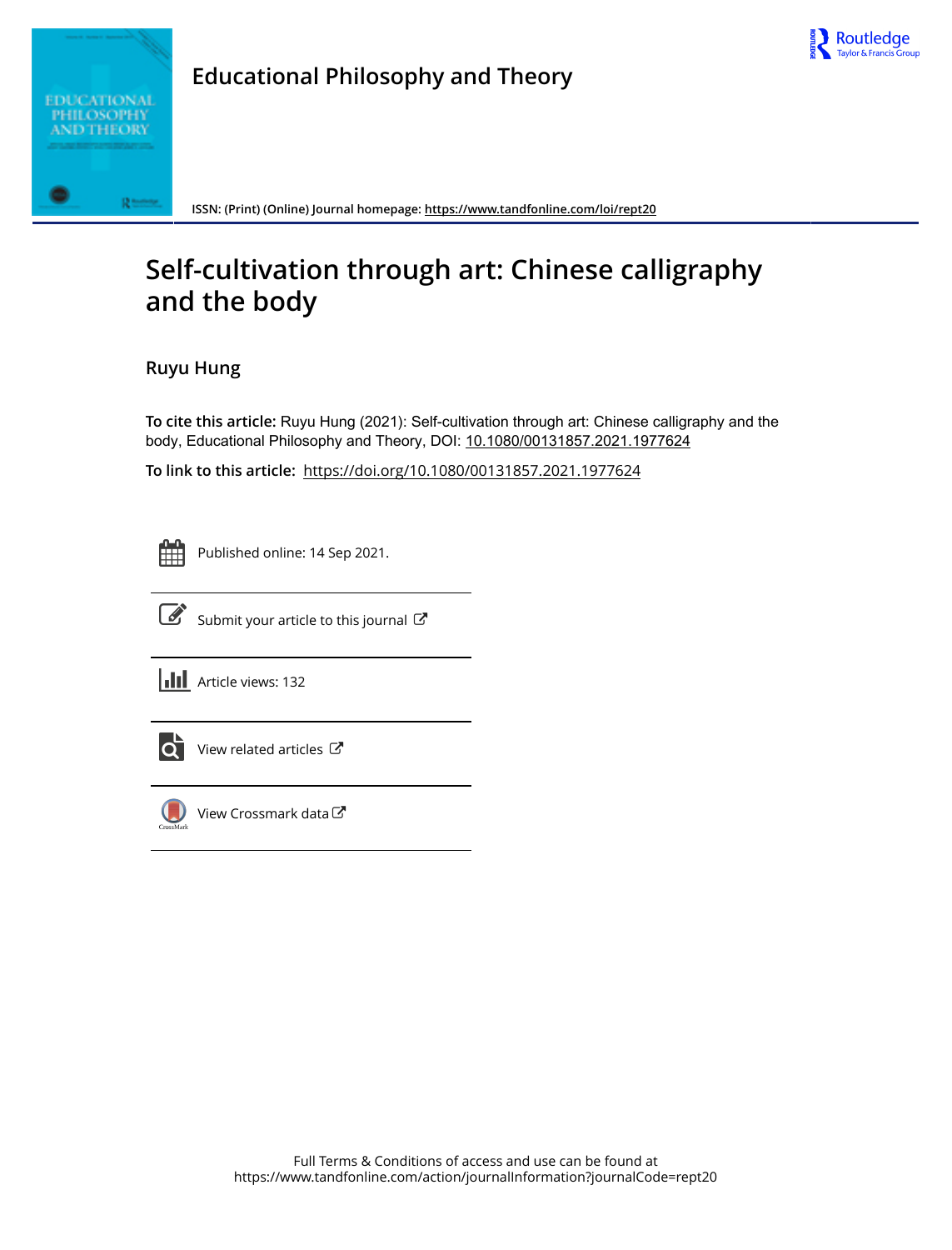



**Educational Philosophy and Theory**

**ISSN: (Print) (Online) Journal homepage:<https://www.tandfonline.com/loi/rept20>**

# **Self-cultivation through art: Chinese calligraphy and the body**

# **Ruyu Hung**

**To cite this article:** Ruyu Hung (2021): Self-cultivation through art: Chinese calligraphy and the body, Educational Philosophy and Theory, DOI: [10.1080/00131857.2021.1977624](https://www.tandfonline.com/action/showCitFormats?doi=10.1080/00131857.2021.1977624)

**To link to this article:** <https://doi.org/10.1080/00131857.2021.1977624>

Published online: 14 Sep 2021.



 $\overrightarrow{S}$  [Submit your article to this journal](https://www.tandfonline.com/action/authorSubmission?journalCode=rept20&show=instructions)  $\overrightarrow{S}$ 

**III** Article views: 132



 $\overrightarrow{Q}$  [View related articles](https://www.tandfonline.com/doi/mlt/10.1080/00131857.2021.1977624)  $\overrightarrow{C}$ 



[View Crossmark data](http://crossmark.crossref.org/dialog/?doi=10.1080/00131857.2021.1977624&domain=pdf&date_stamp=2021-09-14)  $\sigma$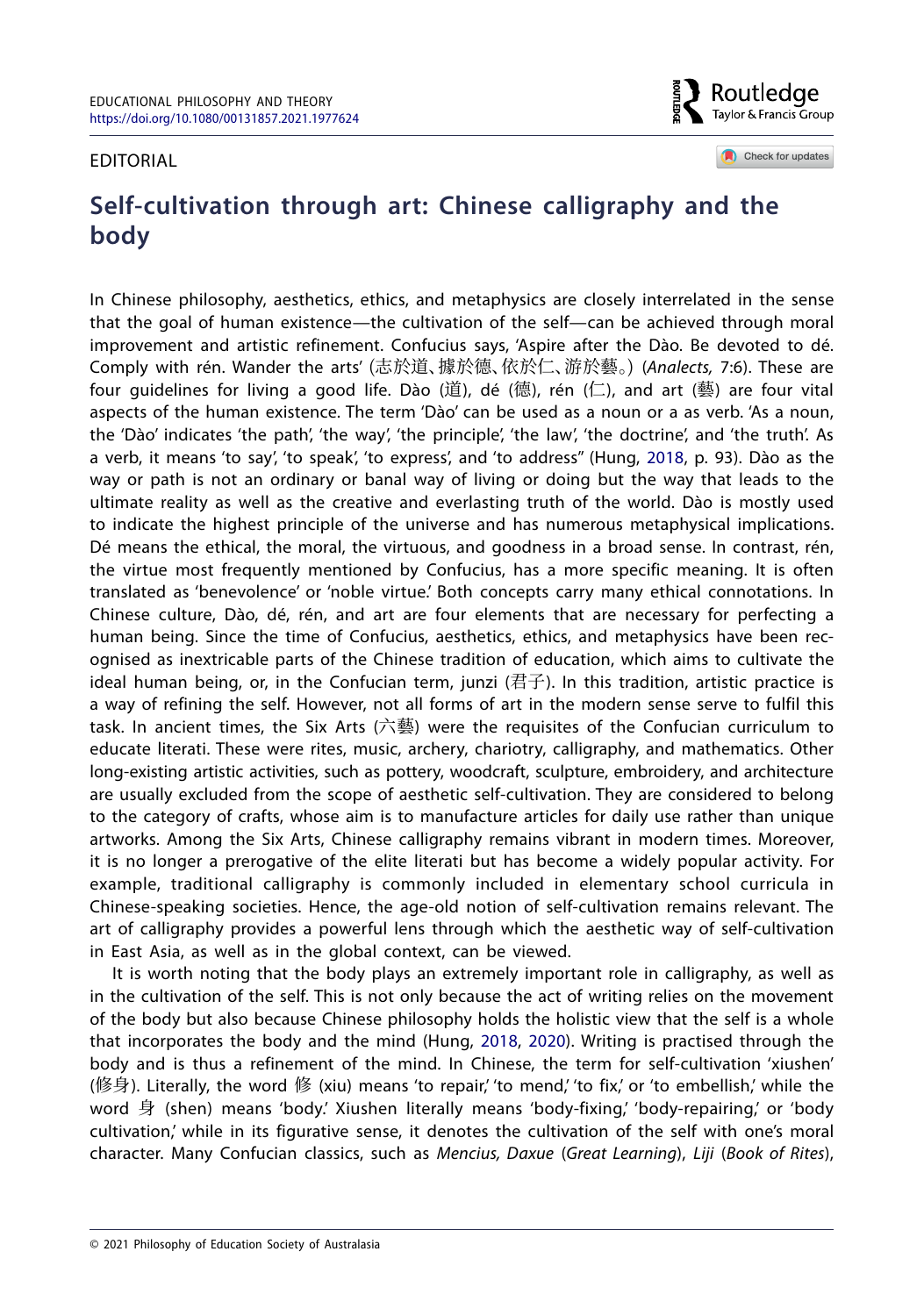#### Editorial

Routledae Taylor & Francis Group

Check for updates

# **Self-cultivation through art: Chinese calligraphy and the body**

<span id="page-1-0"></span>In Chinese philosophy, aesthetics, ethics, and metaphysics are closely interrelated in the sense that the goal of human existence—the cultivation of the self—can be achieved through moral improvement and artistic refinement. Confucius says, 'Aspire after the Dào. Be devoted to dé. Comply with rén. Wander the arts' (志於道、據於德、依於仁、游於藝。) (*Analects,* 7:6). These are four guidelines for living a good life. Dào (道), dé (德), rén (仁), and art (藝) are four vital aspects of the human existence. The term 'Dào' can be used as a noun or a as verb. 'As a noun, the 'Dào' indicates 'the path', 'the way', 'the principle', 'the law', 'the doctrine', and 'the truth'. As a verb, it means 'to say', 'to speak', 'to express', and 'to address'' (Hung, [2018](#page-5-0), p. 93). Dào as the way or path is not an ordinary or banal way of living or doing but the way that leads to the ultimate reality as well as the creative and everlasting truth of the world. Dào is mostly used to indicate the highest principle of the universe and has numerous metaphysical implications. Dé means the ethical, the moral, the virtuous, and goodness in a broad sense. In contrast, rén, the virtue most frequently mentioned by Confucius, has a more specific meaning. It is often translated as 'benevolence' or 'noble virtue.' Both concepts carry many ethical connotations. In Chinese culture, Dào, dé, rén, and art are four elements that are necessary for perfecting a human being. Since the time of Confucius, aesthetics, ethics, and metaphysics have been recognised as inextricable parts of the Chinese tradition of education, which aims to cultivate the ideal human being, or, in the Confucian term, junzi (君子). In this tradition, artistic practice is a way of refining the self. However, not all forms of art in the modern sense serve to fulfil this task. In ancient times, the Six Arts (六藝) were the requisites of the Confucian curriculum to educate literati. These were rites, music, archery, chariotry, calligraphy, and mathematics. Other long-existing artistic activities, such as pottery, woodcraft, sculpture, embroidery, and architecture are usually excluded from the scope of aesthetic self-cultivation. They are considered to belong to the category of crafts, whose aim is to manufacture articles for daily use rather than unique artworks. Among the Six Arts, Chinese calligraphy remains vibrant in modern times. Moreover, it is no longer a prerogative of the elite literati but has become a widely popular activity. For example, traditional calligraphy is commonly included in elementary school curricula in Chinese-speaking societies. Hence, the age-old notion of self-cultivation remains relevant. The art of calligraphy provides a powerful lens through which the aesthetic way of self-cultivation in East Asia, as well as in the global context, can be viewed.

<span id="page-1-1"></span>It is worth noting that the body plays an extremely important role in calligraphy, as well as in the cultivation of the self. This is not only because the act of writing relies on the movement of the body but also because Chinese philosophy holds the holistic view that the self is a whole that incorporates the body and the mind (Hung, [2018,](#page-5-0) [2020](#page-5-1)). Writing is practised through the body and is thus a refinement of the mind. In Chinese, the term for self-cultivation 'xiushen' (修身). Literally, the word 修 (xiu) means 'to repair,' 'to mend,' 'to fix,' or 'to embellish,' while the word 身 (shen) means 'body.' Xiushen literally means 'body-fixing,' 'body-repairing,' or 'body cultivation,' while in its figurative sense, it denotes the cultivation of the self with one's moral character. Many Confucian classics, such as *Mencius, Daxue* (*Great Learning*), *Liji* (*Book of Rites*),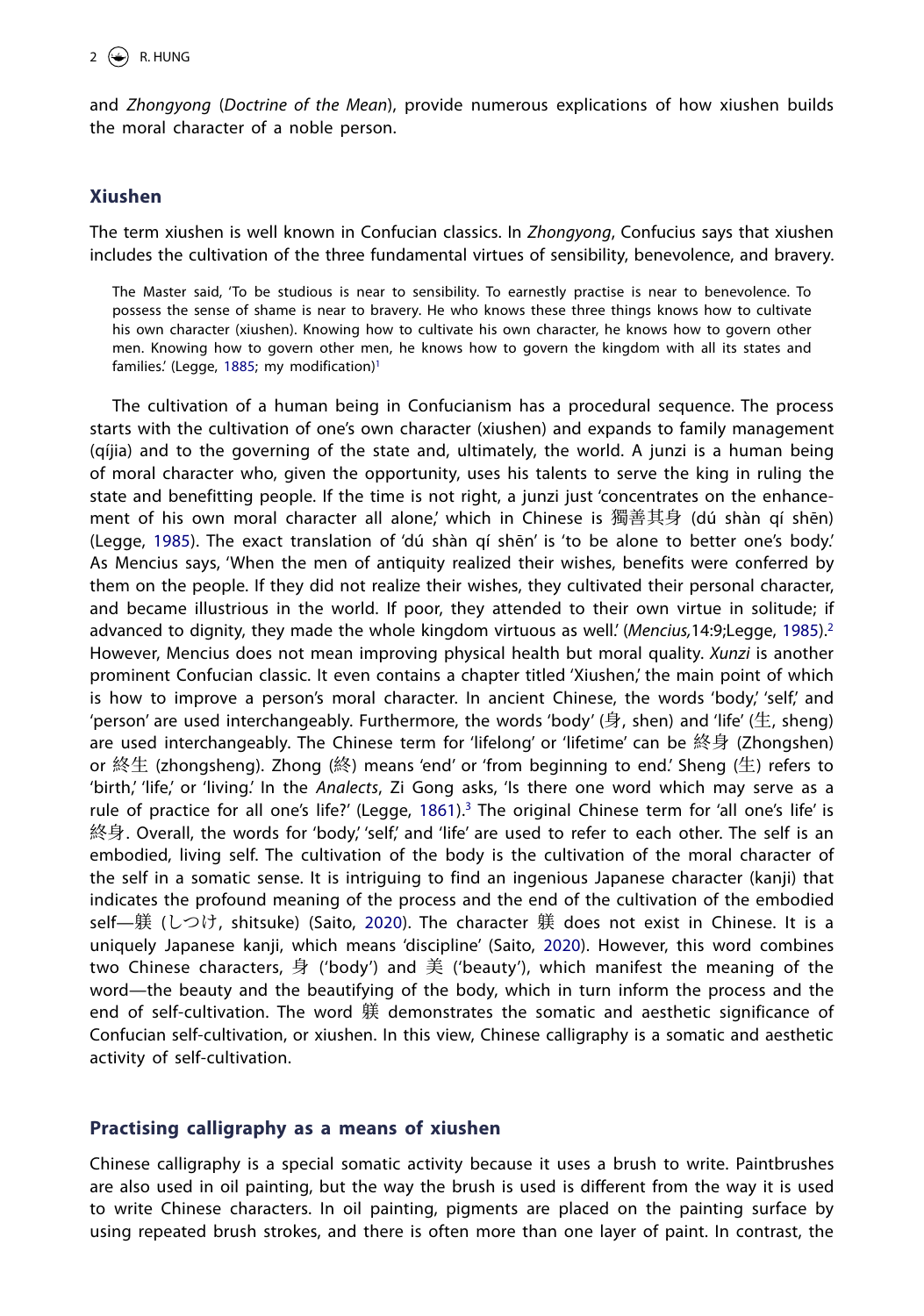and *Zhongyong* (*Doctrine of the Mean*), provide numerous explications of how xiushen builds the moral character of a noble person.

### **Xiushen**

The term xiushen is well known in Confucian classics. In *Zhongyong*, Confucius says that xiushen includes the cultivation of the three fundamental virtues of sensibility, benevolence, and bravery.

<span id="page-2-0"></span>The Master said, 'To be studious is near to sensibility. To earnestly practise is near to benevolence. To possess the sense of shame is near to bravery. He who knows these three things knows how to cultivate his own character (xiushen). Knowing how to cultivate his own character, he knows how to govern other men. Knowing how to govern other men, he knows how to govern the kingdom with all its states and families.' (Legge, [1885](#page-5-2); my modification)<sup>[1](#page-4-0)</sup>

<span id="page-2-5"></span><span id="page-2-3"></span><span id="page-2-1"></span>The cultivation of a human being in Confucianism has a procedural sequence. The process starts with the cultivation of one's own character (xiushen) and expands to family management (qíjia) and to the governing of the state and, ultimately, the world. A junzi is a human being of moral character who, given the opportunity, uses his talents to serve the king in ruling the state and benefitting people. If the time is not right, a junzi just 'concentrates on the enhancement of his own moral character all alone,' which in Chinese is 獨善其身 (dú shàn qí shēn) (Legge, [1985\)](#page-5-3). The exact translation of 'dú shàn qí shēn' is 'to be alone to better one's body.' As Mencius says, 'When the men of antiquity realized their wishes, benefits were conferred by them on the people. If they did not realize their wishes, they cultivated their personal character, and became illustrious in the world. If poor, they attended to their own virtue in solitude; if advanced to dignity, they made the whole kingdom virtuous as well.' (*Mencius,*14:9;Legge, [1985](#page-5-4))[.2](#page-4-1) However, Mencius does not mean improving physical health but moral quality. *Xunzi* is another prominent Confucian classic. It even contains a chapter titled 'Xiushen,' the main point of which is how to improve a person's moral character. In ancient Chinese, the words 'body,' 'self,' and 'person' are used interchangeably. Furthermore, the words 'body' (身, shen) and 'life' (生, sheng) are used interchangeably. The Chinese term for 'lifelong' or 'lifetime' can be 終身 (Zhongshen) or 終生 (zhongsheng). Zhong (終) means 'end' or 'from beginning to end.' Sheng (生) refers to 'birth,' 'life,' or 'living.' In the *Analects*, Zi Gong asks, 'Is there one word which may serve as a rule of practice for all one's life?' (Legge, [1861\)](#page-5-5).<sup>[3](#page-4-2)</sup> The original Chinese term for 'all one's life' is 終身. Overall, the words for 'body,' 'self,' and 'life' are used to refer to each other. The self is an embodied, living self. The cultivation of the body is the cultivation of the moral character of the self in a somatic sense. It is intriguing to find an ingenious Japanese character (kanji) that indicates the profound meaning of the process and the end of the cultivation of the embodied self—躾 (しつけ, shitsuke) (Saito, [2020\)](#page-5-6). The character 躾 does not exist in Chinese. It is a uniquely Japanese kanji, which means 'discipline' (Saito, [2020](#page-5-7)). However, this word combines two Chinese characters, 身 ('body') and 美 ('beauty'), which manifest the meaning of the word—the beauty and the beautifying of the body, which in turn inform the process and the end of self-cultivation. The word 躾 demonstrates the somatic and aesthetic significance of Confucian self-cultivation, or xiushen. In this view, Chinese calligraphy is a somatic and aesthetic activity of self-cultivation.

## <span id="page-2-6"></span><span id="page-2-4"></span><span id="page-2-2"></span>**Practising calligraphy as a means of xiushen**

Chinese calligraphy is a special somatic activity because it uses a brush to write. Paintbrushes are also used in oil painting, but the way the brush is used is different from the way it is used to write Chinese characters. In oil painting, pigments are placed on the painting surface by using repeated brush strokes, and there is often more than one layer of paint. In contrast, the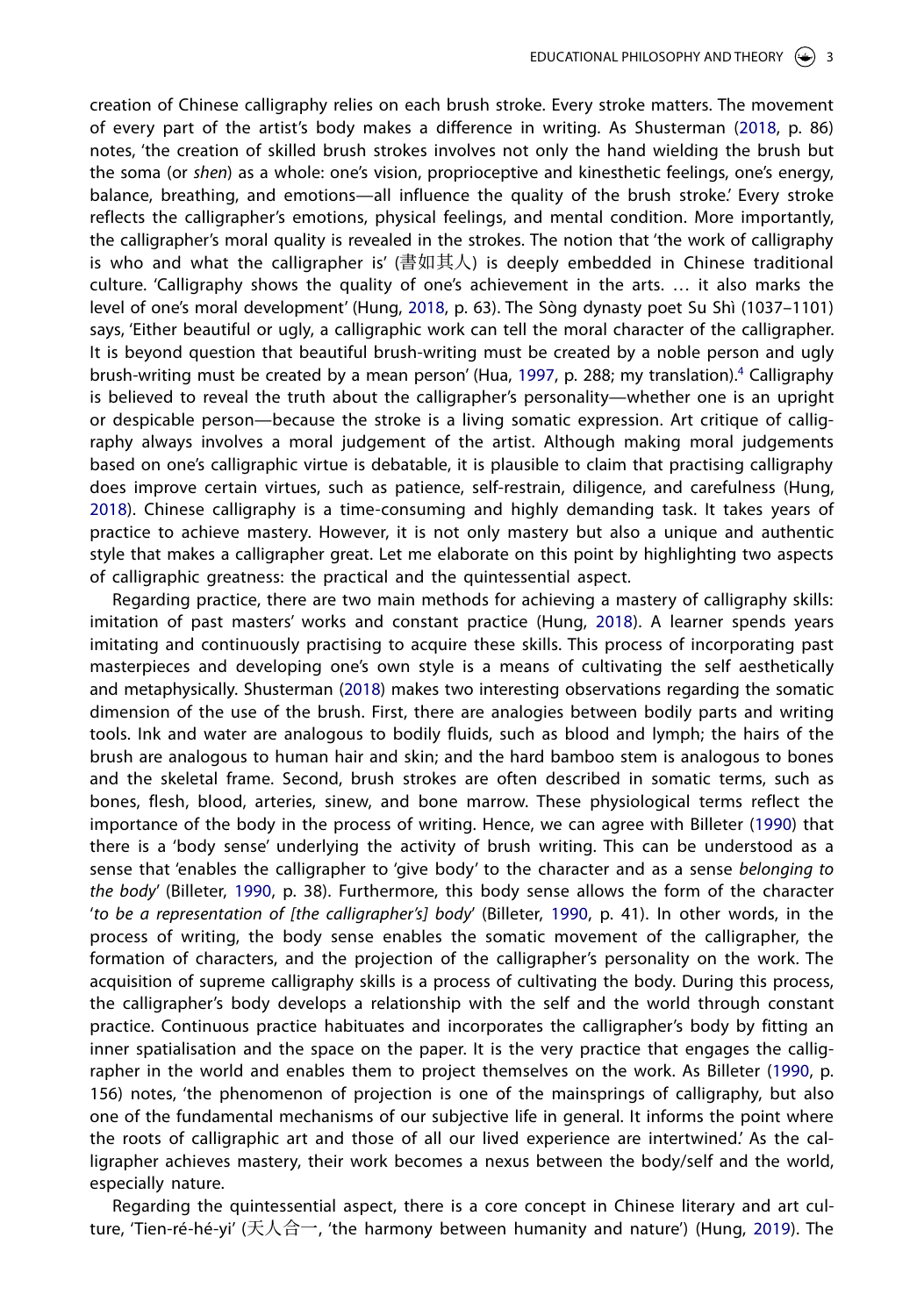<span id="page-3-4"></span>creation of Chinese calligraphy relies on each brush stroke. Every stroke matters. The movement of every part of the artist's body makes a difference in writing. As Shusterman ([2018,](#page-5-8) p. 86) notes, 'the creation of skilled brush strokes involves not only the hand wielding the brush but the soma (or *shen*) as a whole: one's vision, proprioceptive and kinesthetic feelings, one's energy, balance, breathing, and emotions—all influence the quality of the brush stroke.' Every stroke reflects the calligrapher's emotions, physical feelings, and mental condition. More importantly, the calligrapher's moral quality is revealed in the strokes. The notion that 'the work of calligraphy is who and what the calligrapher is' (書如其人) is deeply embedded in Chinese traditional culture. 'Calligraphy shows the quality of one's achievement in the arts. … it also marks the level of one's moral development' (Hung, [2018](#page-5-0), p. 63). The Sòng dynasty poet Su Shì (1037–1101) says, 'Either beautiful or ugly, a calligraphic work can tell the moral character of the calligrapher. It is beyond question that beautiful brush-writing must be created by a noble person and ugly brush-writing must be created by a mean person' (Hua, [1997](#page-5-9), p. 288; my translation)[.4](#page-4-3) Calligraphy is believed to reveal the truth about the calligrapher's personality—whether one is an upright or despicable person—because the stroke is a living somatic expression. Art critique of calligraphy always involves a moral judgement of the artist. Although making moral judgements based on one's calligraphic virtue is debatable, it is plausible to claim that practising calligraphy does improve certain virtues, such as patience, self-restrain, diligence, and carefulness (Hung, [2018\)](#page-5-0). Chinese calligraphy is a time-consuming and highly demanding task. It takes years of practice to achieve mastery. However, it is not only mastery but also a unique and authentic style that makes a calligrapher great. Let me elaborate on this point by highlighting two aspects of calligraphic greatness: the practical and the quintessential aspect.

<span id="page-3-2"></span><span id="page-3-1"></span><span id="page-3-0"></span>Regarding practice, there are two main methods for achieving a mastery of calligraphy skills: imitation of past masters' works and constant practice (Hung, [2018](#page-5-10)). A learner spends years imitating and continuously practising to acquire these skills. This process of incorporating past masterpieces and developing one's own style is a means of cultivating the self aesthetically and metaphysically. Shusterman ([2018](#page-5-8)) makes two interesting observations regarding the somatic dimension of the use of the brush. First, there are analogies between bodily parts and writing tools. Ink and water are analogous to bodily fluids, such as blood and lymph; the hairs of the brush are analogous to human hair and skin; and the hard bamboo stem is analogous to bones and the skeletal frame. Second, brush strokes are often described in somatic terms, such as bones, flesh, blood, arteries, sinew, and bone marrow. These physiological terms reflect the importance of the body in the process of writing. Hence, we can agree with Billeter ([1990\)](#page-5-11) that there is a 'body sense' underlying the activity of brush writing. This can be understood as a sense that 'enables the calligrapher to 'give body' to the character and as a sense *belonging to the body*' (Billeter, [1990](#page-5-11), p. 38). Furthermore, this body sense allows the form of the character '*to be a representation of [the calligrapher's] body*' (Billeter, [1990](#page-5-11), p. 41). In other words, in the process of writing, the body sense enables the somatic movement of the calligrapher, the formation of characters, and the projection of the calligrapher's personality on the work. The acquisition of supreme calligraphy skills is a process of cultivating the body. During this process, the calligrapher's body develops a relationship with the self and the world through constant practice. Continuous practice habituates and incorporates the calligrapher's body by fitting an inner spatialisation and the space on the paper. It is the very practice that engages the callig-rapher in the world and enables them to project themselves on the work. As Billeter [\(1990](#page-5-12), p. 156) notes, 'the phenomenon of projection is one of the mainsprings of calligraphy, but also one of the fundamental mechanisms of our subjective life in general. It informs the point where the roots of calligraphic art and those of all our lived experience are intertwined.' As the calligrapher achieves mastery, their work becomes a nexus between the body/self and the world, especially nature.

<span id="page-3-3"></span>Regarding the quintessential aspect, there is a core concept in Chinese literary and art culture, 'Tien-ré-hé-yi' (天人合一, 'the harmony between humanity and nature') (Hung, [2019](#page-5-13)). The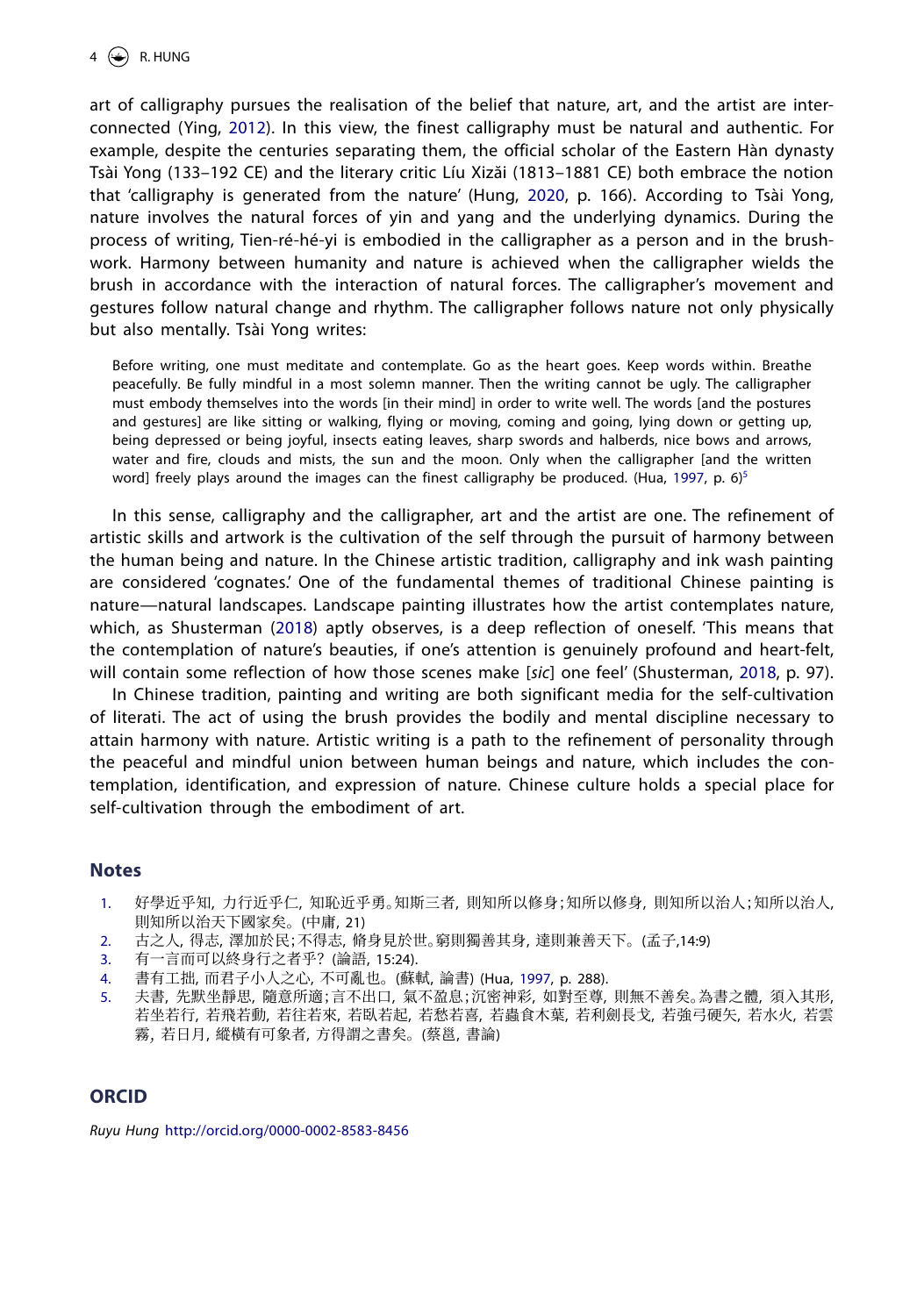<span id="page-4-6"></span>art of calligraphy pursues the realisation of the belief that nature, art, and the artist are interconnected (Ying, [2012](#page-5-14)). In this view, the finest calligraphy must be natural and authentic. For example, despite the centuries separating them, the official scholar of the Eastern Hàn dynasty Tsài Yong (133–192 CE) and the literary critic Líu Xizăi (1813–1881 CE) both embrace the notion that 'calligraphy is generated from the nature' (Hung, [2020,](#page-5-15) p. 166). According to Tsài Yong, nature involves the natural forces of yin and yang and the underlying dynamics. During the process of writing, Tien-ré-hé-yi is embodied in the calligrapher as a person and in the brushwork. Harmony between humanity and nature is achieved when the calligrapher wields the brush in accordance with the interaction of natural forces. The calligrapher's movement and gestures follow natural change and rhythm. The calligrapher follows nature not only physically but also mentally. Tsài Yong writes:

<span id="page-4-5"></span>Before writing, one must meditate and contemplate. Go as the heart goes. Keep words within. Breathe peacefully. Be fully mindful in a most solemn manner. Then the writing cannot be ugly. The calligrapher must embody themselves into the words [in their mind] in order to write well. The words [and the postures and gestures] are like sitting or walking, flying or moving, coming and going, lying down or getting up, being depressed or being joyful, insects eating leaves, sharp swords and halberds, nice bows and arrows, water and fire, clouds and mists, the sun and the moon. Only when the calligrapher [and the written word] freely plays around the images can the finest calligraphy be produced. (Hua, [1997](#page-5-9), p. 6)<sup>[5](#page-4-4)</sup>

In this sense, calligraphy and the calligrapher, art and the artist are one. The refinement of artistic skills and artwork is the cultivation of the self through the pursuit of harmony between the human being and nature. In the Chinese artistic tradition, calligraphy and ink wash painting are considered 'cognates.' One of the fundamental themes of traditional Chinese painting is nature—natural landscapes. Landscape painting illustrates how the artist contemplates nature, which, as Shusterman [\(2018](#page-5-8)) aptly observes, is a deep reflection of oneself. 'This means that the contemplation of nature's beauties, if one's attention is genuinely profound and heart-felt, will contain some reflection of how those scenes make [*sic*] one feel' (Shusterman, [2018,](#page-5-16) p. 97).

In Chinese tradition, painting and writing are both significant media for the self-cultivation of literati. The act of using the brush provides the bodily and mental discipline necessary to attain harmony with nature. Artistic writing is a path to the refinement of personality through the peaceful and mindful union between human beings and nature, which includes the contemplation, identification, and expression of nature. Chinese culture holds a special place for self-cultivation through the embodiment of art.

#### **Notes**

- <span id="page-4-0"></span>[1.](#page-2-0) 好學近乎知, 力行近乎仁, 知恥近乎勇。知斯三者, 則知所以修身;知所以修身, 則知所以治人;知所以治人, 則知所以治天下國家矣。(中庸, 21)
- <span id="page-4-1"></span>[2.](#page-2-1) 古之人, 得志, 澤加於民;不得志, 脩身見於世。窮則獨善其身, 達則兼善天下。(孟子,14:9)
- <span id="page-4-2"></span>[3.](#page-2-2) 有一言而可以終身行之者乎?(論語, 15:24).
- <span id="page-4-3"></span>[4.](#page-3-0) 書有工拙, 而君子小人之心, 不可亂也。(蘇軾, 論書) (Hua, [1997](#page-5-17), p. 288).
- <span id="page-4-4"></span>[5.](#page-4-5) 夫書, 先默坐靜思, 隨意所適;言不出口, 氣不盈息;沉密神彩, 如對至尊, 則無不善矣。為書之體, 須入其形, 若坐若行, 若飛若動, 若往若來, 若臥若起, 若愁若喜, 若蟲食木葉, 若利劍長戈, 若強弓硬矢, 若水火, 若雲 霧, 若日月, 縱橫有可象者, 方得謂之書矣。(蔡邕, 書論)

## **ORCID**

*Ruyu Hung* [http://orcid.org/0000-0002-8583-8456](https://orcid.org/0000-0002-5108-0181)